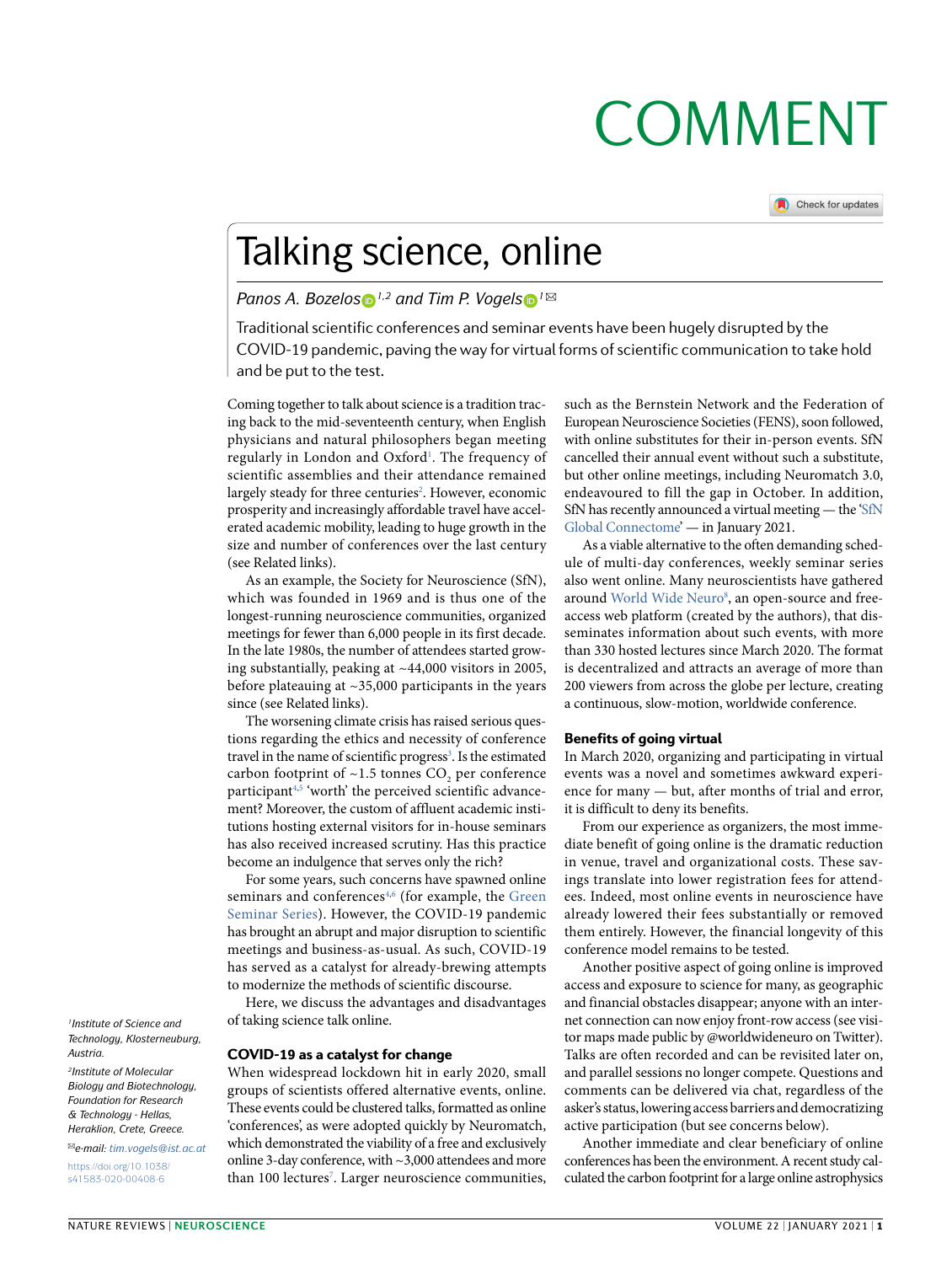# **COMMENT**

Check for updates

## Talking science, online

### *Panos A. Bozelos* **D**<sup>*1,2*</sup> and Tim P. Vogels **D**<sup>*1*⊠</sup>

Traditional scientific conferences and seminar events have been hugely disrupted by the COVID-19 pandemic, paving the way for virtual forms of scientific communication to take hold and be put to the test.

Coming together to talk about science is a tradition tracing back to the mid-seventeenth century, when English physicians and natural philosophers began meeting regularly in London and Oxford<sup>[1](#page-1-0)</sup>. The frequency of scientific assemblies and their attendance remained largely steady for three centuries<sup>2</sup>. However, economic prosperity and increasingly affordable travel have accelerated academic mobility, leading to huge growth in the size and number of conferences over the last century (see Related links).

As an example, the Society for Neuroscience (SfN), which was founded in 1969 and is thus one of the longest-running neuroscience communities, organized meetings for fewer than 6,000 people in its first decade. In the late 1980s, the number of attendees started growing substantially, peaking at ~44,000 visitors in 2005, before plateauing at ~35,000 participants in the years since (see Related links).

The worsening climate crisis has raised serious questions regarding the ethics and necessity of conference travel in the name of scientific progress<sup>3</sup>. Is the estimated carbon footprint of  $~1.5$  tonnes CO<sub>2</sub> per conference participan[t4](#page-1-3)[,5](#page-1-4) 'worth' the perceived scientific advancement? Moreover, the custom of affluent academic institutions hosting external visitors for in-house seminars has also received increased scrutiny. Has this practice become an indulgence that serves only the rich?

For some years, such concerns have spawned online seminars and conferences<sup>[4,](#page-1-3)[6](#page-1-5)</sup> (for example, the [Green](http://www.greenseminars.ch) [Seminar](http://www.greenseminars.ch) Series). However, the COVID-19 pandemic has brought an abrupt and major disruption to scientific meetings and business-as-usual. As such, COVID-19 has served as a catalyst for already-brewing attempts to modernize the methods of scientific discourse.

Here, we discuss the advantages and disadvantages of taking science talk online.

### COVID-19 as a catalyst for change

When widespread lockdown hit in early 2020, small groups of scientists offered alternative events, online. These events could be clustered talks, formatted as online 'conferences', as were adopted quickly by Neuromatch, which demonstrated the viability of a free and exclusively online 3-day conference, with ~3,000 attendees and more than 100 lectures<sup>7</sup>. Larger neuroscience communities, such as the Bernstein Network and the Federation of European Neuroscience Societies (FENS), soon followed, with online substitutes for their in-person events. SfN cancelled their annual event without such a substitute, but other online meetings, including Neuromatch 3.0, endeavoured to fill the gap in October. In addition, SfN has recently announced a virtual meeting — the ['SfN](https://www.sfn.org/meetings/virtual-events/sfn-global-connectome-a-virtual-event) Global [Connectome](https://www.sfn.org/meetings/virtual-events/sfn-global-connectome-a-virtual-event)' — in January 2021.

As a viable alternative to the often demanding schedule of multi-day conferences, weekly seminar series also went online. Many neuroscientists have gathered around World Wide [Neuro](https://www.worldwideneuro.com/)<sup>[8](#page-1-7)</sup>, an open-source and freeaccess web platform (created by the authors), that disseminates information about such events, with more than 330 hosted lectures since March 2020. The format is decentralized and attracts an average of more than 200 viewers from across the globe per lecture, creating a continuous, slow-motion, worldwide conference.

### Benefits of going virtual

In March 2020, organizing and participating in virtual events was a novel and sometimes awkward experience for many — but, after months of trial and error, it is difficult to deny its benefits.

From our experience as organizers, the most immediate benefit of going online is the dramatic reduction in venue, travel and organizational costs. These savings translate into lower registration fees for attendees. Indeed, most online events in neuroscience have already lowered their fees substantially or removed them entirely. However, the financial longevity of this conference model remains to be tested.

Another positive aspect of going online is improved access and exposure to science for many, as geographic and financial obstacles disappear; anyone with an internet connection can now enjoy front-row access (see visitor maps made public by @worldwideneuro on Twitter). Talks are often recorded and can be revisited later on, and parallel sessions no longer compete. Questions and comments can be delivered via chat, regardless of the asker's status, lowering access barriers and democratizing active participation (but see concerns below).

Another immediate and clear beneficiary of online conferences has been the environment. A recent study calculated the carbon footprint for a large online astrophysics

*1Institute of Science and Technology, Klosterneuburg, Austria.*

*2Institute of Molecular Biology and Biotechnology, Foundation for Research & Technology - Hellas, Heraklion, Crete, Greece.*

✉*e-mail: [tim.vogels@ist.ac.at](mailto:tim.vogels@ist.ac.at)* [https://doi.org/10.1038/](https://doi.org/10.1038/s41583-020-00408-6)

[s41583-020-00408-6](https://doi.org/10.1038/s41583-020-00408-6)